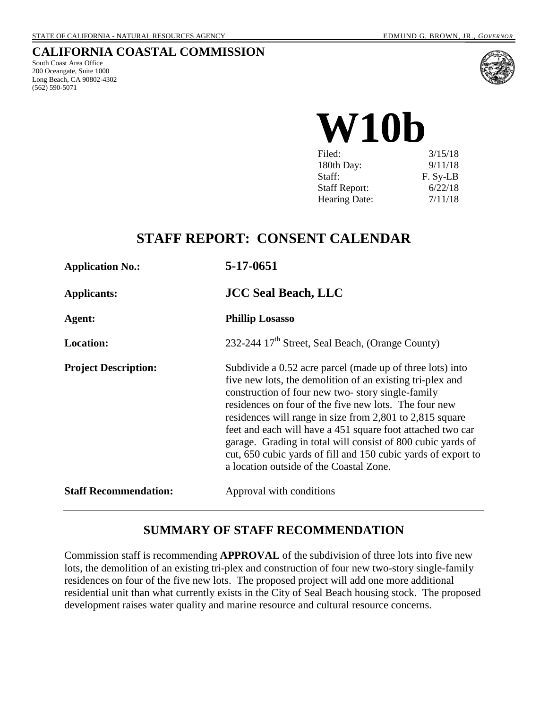### **CALIFORNIA COASTAL COMMISSION**

South Coast Area Office 200 Oceangate, Suite 1000 Long Beach, CA 90802-4302 (562) 590-5071



**W10b**

| 3/15/18  |
|----------|
| 9/11/18  |
| F. Sy-LB |
| 6/22/18  |
| 7/11/18  |
|          |

## **STAFF REPORT: CONSENT CALENDAR**

| <b>Application No.:</b>      | 5-17-0651                                                                                                                                                                                                                                                                                                                                                                                                                                                                                                                                |
|------------------------------|------------------------------------------------------------------------------------------------------------------------------------------------------------------------------------------------------------------------------------------------------------------------------------------------------------------------------------------------------------------------------------------------------------------------------------------------------------------------------------------------------------------------------------------|
| <b>Applicants:</b>           | <b>JCC Seal Beach, LLC</b>                                                                                                                                                                                                                                                                                                                                                                                                                                                                                                               |
| Agent:                       | <b>Phillip Losasso</b>                                                                                                                                                                                                                                                                                                                                                                                                                                                                                                                   |
| <b>Location:</b>             | 232-244 17 <sup>th</sup> Street, Seal Beach, (Orange County)                                                                                                                                                                                                                                                                                                                                                                                                                                                                             |
| <b>Project Description:</b>  | Subdivide a 0.52 acre parcel (made up of three lots) into<br>five new lots, the demolition of an existing tri-plex and<br>construction of four new two-story single-family<br>residences on four of the five new lots. The four new<br>residences will range in size from 2,801 to 2,815 square<br>feet and each will have a 451 square foot attached two car<br>garage. Grading in total will consist of 800 cubic yards of<br>cut, 650 cubic yards of fill and 150 cubic yards of export to<br>a location outside of the Coastal Zone. |
| <b>Staff Recommendation:</b> | Approval with conditions                                                                                                                                                                                                                                                                                                                                                                                                                                                                                                                 |

#### **SUMMARY OF STAFF RECOMMENDATION**

Commission staff is recommending **APPROVAL** of the subdivision of three lots into five new lots, the demolition of an existing tri-plex and construction of four new two-story single-family residences on four of the five new lots. The proposed project will add one more additional residential unit than what currently exists in the City of Seal Beach housing stock. The proposed development raises water quality and marine resource and cultural resource concerns.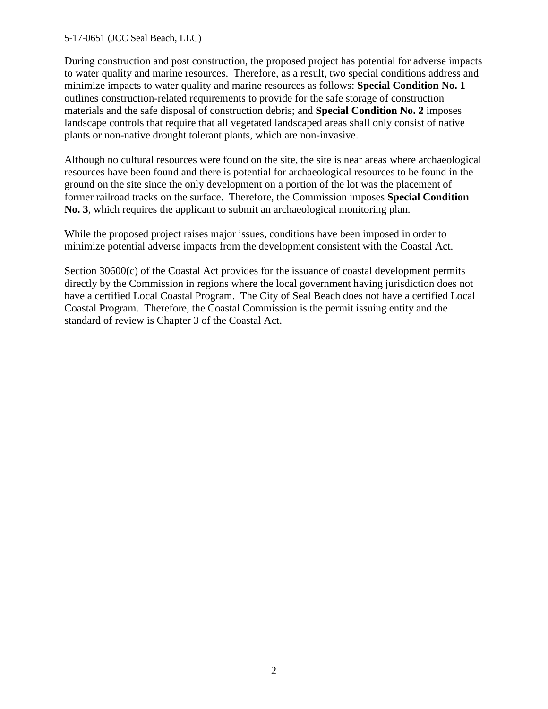#### 5-17-0651 (JCC Seal Beach, LLC)

During construction and post construction, the proposed project has potential for adverse impacts to water quality and marine resources. Therefore, as a result, two special conditions address and minimize impacts to water quality and marine resources as follows: **Special Condition No. 1** outlines construction-related requirements to provide for the safe storage of construction materials and the safe disposal of construction debris; and **Special Condition No. 2** imposes landscape controls that require that all vegetated landscaped areas shall only consist of native plants or non-native drought tolerant plants, which are non-invasive.

Although no cultural resources were found on the site, the site is near areas where archaeological resources have been found and there is potential for archaeological resources to be found in the ground on the site since the only development on a portion of the lot was the placement of former railroad tracks on the surface. Therefore, the Commission imposes **Special Condition No. 3**, which requires the applicant to submit an archaeological monitoring plan.

While the proposed project raises major issues, conditions have been imposed in order to minimize potential adverse impacts from the development consistent with the Coastal Act.

Section 30600(c) of the Coastal Act provides for the issuance of coastal development permits directly by the Commission in regions where the local government having jurisdiction does not have a certified Local Coastal Program. The City of Seal Beach does not have a certified Local Coastal Program. Therefore, the Coastal Commission is the permit issuing entity and the standard of review is Chapter 3 of the Coastal Act.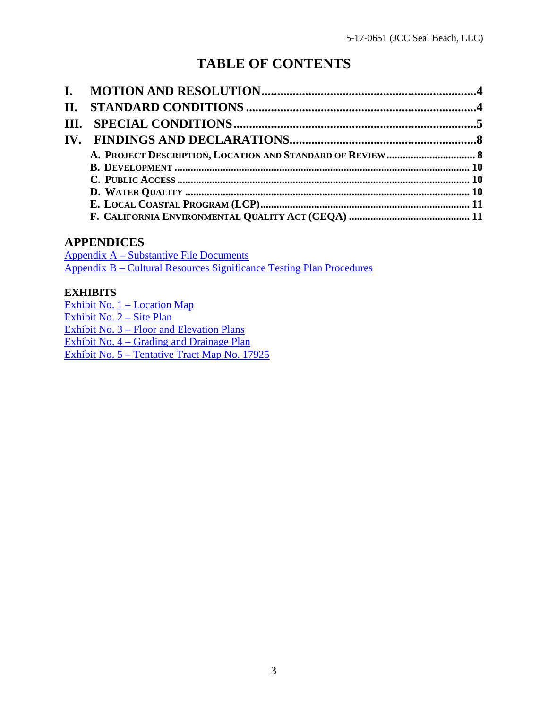# **TABLE OF CONTENTS**

### **APPENDICES**

[Appendix A – Substantive File Documents](#page-11-0) [Appendix B – Cultural Resources Significance Testing Plan Procedures](#page-12-0)

### **EXHIBITS**

[Exhibit No. 1 – Location Map](https://documents.coastal.ca.gov/reports/2018/7/w10b/w10b-7-2018-exhibits.pdf) [Exhibit No. 2 – Site Plan](https://documents.coastal.ca.gov/reports/2018/7/w10b/w10b-7-2018-exhibits.pdf) [Exhibit No. 3 – Floor and Elevation Plans](https://documents.coastal.ca.gov/reports/2018/7/w10b/w10b-7-2018-exhibits.pdf) [Exhibit No. 4 – Grading and Drainage Plan](https://documents.coastal.ca.gov/reports/2018/7/w10b/w10b-7-2018-exhibits.pdf) [Exhibit No. 5 – Tentative Tract Map No. 17925](https://documents.coastal.ca.gov/reports/2018/7/w10b/w10b-7-2018-exhibits.pdf)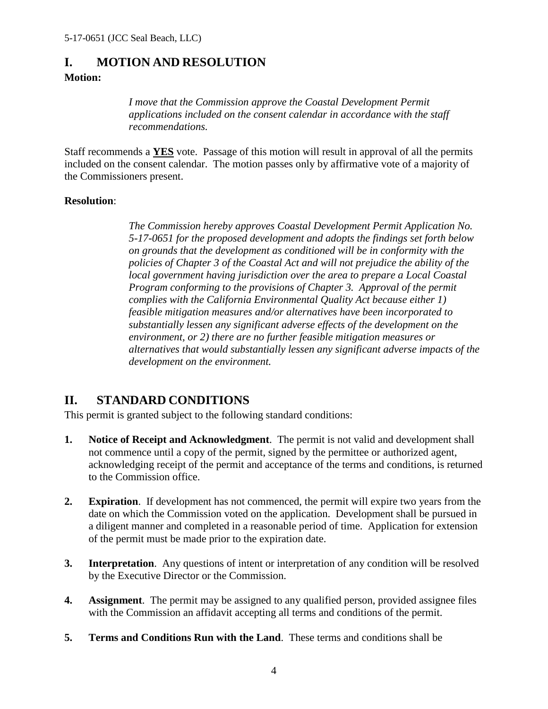### <span id="page-3-0"></span>**I. MOTION AND RESOLUTION**

#### **Motion:**

*I move that the Commission approve the Coastal Development Permit applications included on the consent calendar in accordance with the staff recommendations.*

Staff recommends a **YES** vote. Passage of this motion will result in approval of all the permits included on the consent calendar. The motion passes only by affirmative vote of a majority of the Commissioners present.

#### **Resolution**:

*The Commission hereby approves Coastal Development Permit Application No. 5-17-0651 for the proposed development and adopts the findings set forth below on grounds that the development as conditioned will be in conformity with the policies of Chapter 3 of the Coastal Act and will not prejudice the ability of the local government having jurisdiction over the area to prepare a Local Coastal Program conforming to the provisions of Chapter 3. Approval of the permit complies with the California Environmental Quality Act because either 1) feasible mitigation measures and/or alternatives have been incorporated to substantially lessen any significant adverse effects of the development on the environment, or 2) there are no further feasible mitigation measures or alternatives that would substantially lessen any significant adverse impacts of the development on the environment.* 

## <span id="page-3-1"></span>**II. STANDARD CONDITIONS**

This permit is granted subject to the following standard conditions:

- **1. Notice of Receipt and Acknowledgment**. The permit is not valid and development shall not commence until a copy of the permit, signed by the permittee or authorized agent, acknowledging receipt of the permit and acceptance of the terms and conditions, is returned to the Commission office.
- **2. Expiration**. If development has not commenced, the permit will expire two years from the date on which the Commission voted on the application. Development shall be pursued in a diligent manner and completed in a reasonable period of time. Application for extension of the permit must be made prior to the expiration date.
- **3.** Interpretation. Any questions of intent or interpretation of any condition will be resolved by the Executive Director or the Commission.
- **4. Assignment**. The permit may be assigned to any qualified person, provided assignee files with the Commission an affidavit accepting all terms and conditions of the permit.
- **5. Terms and Conditions Run with the Land**. These terms and conditions shall be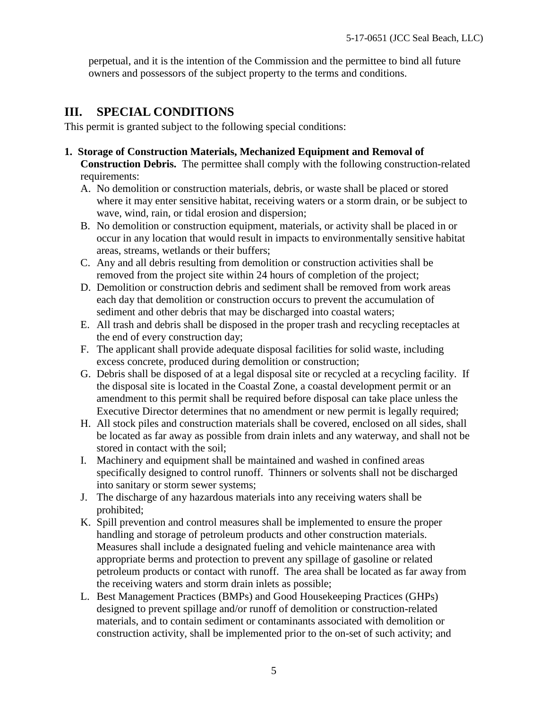perpetual, and it is the intention of the Commission and the permittee to bind all future owners and possessors of the subject property to the terms and conditions.

## <span id="page-4-0"></span>**III. SPECIAL CONDITIONS**

This permit is granted subject to the following special conditions:

- **1. Storage of Construction Materials, Mechanized Equipment and Removal of Construction Debris.** The permittee shall comply with the following construction-related requirements:
	- A. No demolition or construction materials, debris, or waste shall be placed or stored where it may enter sensitive habitat, receiving waters or a storm drain, or be subject to wave, wind, rain, or tidal erosion and dispersion;
	- B. No demolition or construction equipment, materials, or activity shall be placed in or occur in any location that would result in impacts to environmentally sensitive habitat areas, streams, wetlands or their buffers;
	- C. Any and all debris resulting from demolition or construction activities shall be removed from the project site within 24 hours of completion of the project;
	- D. Demolition or construction debris and sediment shall be removed from work areas each day that demolition or construction occurs to prevent the accumulation of sediment and other debris that may be discharged into coastal waters;
	- E. All trash and debris shall be disposed in the proper trash and recycling receptacles at the end of every construction day;
	- F. The applicant shall provide adequate disposal facilities for solid waste, including excess concrete, produced during demolition or construction;
	- G. Debris shall be disposed of at a legal disposal site or recycled at a recycling facility. If the disposal site is located in the Coastal Zone, a coastal development permit or an amendment to this permit shall be required before disposal can take place unless the Executive Director determines that no amendment or new permit is legally required;
	- H. All stock piles and construction materials shall be covered, enclosed on all sides, shall be located as far away as possible from drain inlets and any waterway, and shall not be stored in contact with the soil;
	- I. Machinery and equipment shall be maintained and washed in confined areas specifically designed to control runoff. Thinners or solvents shall not be discharged into sanitary or storm sewer systems;
	- J. The discharge of any hazardous materials into any receiving waters shall be prohibited;
	- K. Spill prevention and control measures shall be implemented to ensure the proper handling and storage of petroleum products and other construction materials. Measures shall include a designated fueling and vehicle maintenance area with appropriate berms and protection to prevent any spillage of gasoline or related petroleum products or contact with runoff. The area shall be located as far away from the receiving waters and storm drain inlets as possible;
	- L. Best Management Practices (BMPs) and Good Housekeeping Practices (GHPs) designed to prevent spillage and/or runoff of demolition or construction-related materials, and to contain sediment or contaminants associated with demolition or construction activity, shall be implemented prior to the on-set of such activity; and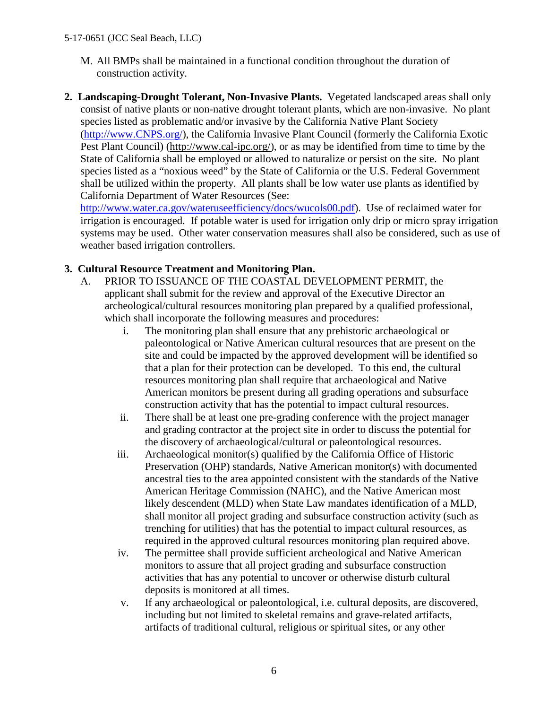- M. All BMPs shall be maintained in a functional condition throughout the duration of construction activity.
- **2. Landscaping-Drought Tolerant, Non-Invasive Plants.** Vegetated landscaped areas shall only consist of native plants or non-native drought tolerant plants, which are non-invasive. No plant species listed as problematic and/or invasive by the California Native Plant Society [\(http://www.CNPS.org/\)](http://www.cnps.org/), the California Invasive Plant Council (formerly the California Exotic Pest Plant Council) [\(http://www.cal-ipc.org/\)](http://www.cal-ipc.org/), or as may be identified from time to time by the State of California shall be employed or allowed to naturalize or persist on the site. No plant species listed as a "noxious weed" by the State of California or the U.S. Federal Government shall be utilized within the property. All plants shall be low water use plants as identified by California Department of Water Resources (See:

[http://www.water.ca.gov/wateruseefficiency/docs/wucols00.pdf\)](http://www.water.ca.gov/wateruseefficiency/docs/wucols00.pdf). Use of reclaimed water for irrigation is encouraged. If potable water is used for irrigation only drip or micro spray irrigation systems may be used. Other water conservation measures shall also be considered, such as use of weather based irrigation controllers.

#### **3. Cultural Resource Treatment and Monitoring Plan.**

- A. PRIOR TO ISSUANCE OF THE COASTAL DEVELOPMENT PERMIT, the applicant shall submit for the review and approval of the Executive Director an archeological/cultural resources monitoring plan prepared by a qualified professional, which shall incorporate the following measures and procedures:
	- i. The monitoring plan shall ensure that any prehistoric archaeological or paleontological or Native American cultural resources that are present on the site and could be impacted by the approved development will be identified so that a plan for their protection can be developed. To this end, the cultural resources monitoring plan shall require that archaeological and Native American monitors be present during all grading operations and subsurface construction activity that has the potential to impact cultural resources.
	- ii. There shall be at least one pre-grading conference with the project manager and grading contractor at the project site in order to discuss the potential for the discovery of archaeological/cultural or paleontological resources.
	- iii. Archaeological monitor(s) qualified by the California Office of Historic Preservation (OHP) standards, Native American monitor(s) with documented ancestral ties to the area appointed consistent with the standards of the Native American Heritage Commission (NAHC), and the Native American most likely descendent (MLD) when State Law mandates identification of a MLD, shall monitor all project grading and subsurface construction activity (such as trenching for utilities) that has the potential to impact cultural resources, as required in the approved cultural resources monitoring plan required above.
	- iv. The permittee shall provide sufficient archeological and Native American monitors to assure that all project grading and subsurface construction activities that has any potential to uncover or otherwise disturb cultural deposits is monitored at all times.
	- v. If any archaeological or paleontological, i.e. cultural deposits, are discovered, including but not limited to skeletal remains and grave-related artifacts, artifacts of traditional cultural, religious or spiritual sites, or any other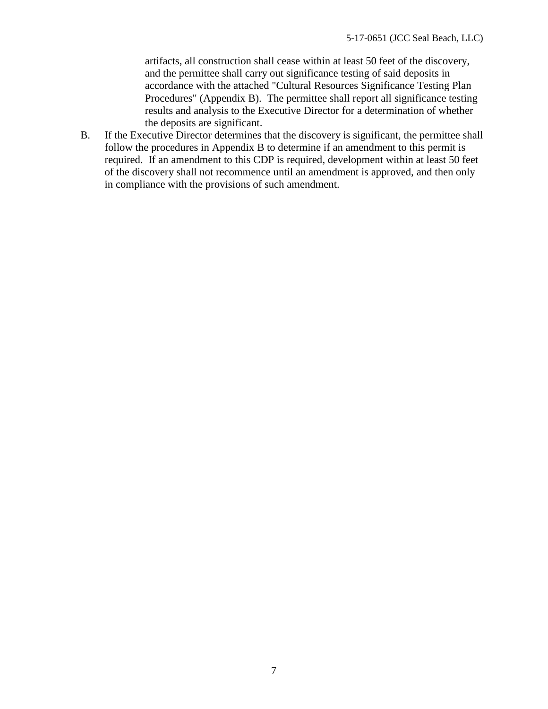artifacts, all construction shall cease within at least 50 feet of the discovery, and the permittee shall carry out significance testing of said deposits in accordance with the attached "Cultural Resources Significance Testing Plan Procedures" (Appendix B). The permittee shall report all significance testing results and analysis to the Executive Director for a determination of whether the deposits are significant.

B. If the Executive Director determines that the discovery is significant, the permittee shall follow the procedures in Appendix B to determine if an amendment to this permit is required. If an amendment to this CDP is required, development within at least 50 feet of the discovery shall not recommence until an amendment is approved, and then only in compliance with the provisions of such amendment.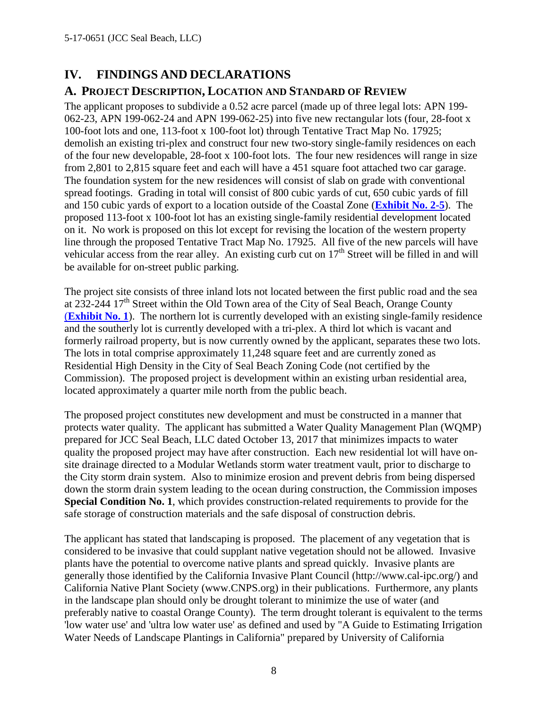## <span id="page-7-0"></span>**IV. FINDINGS AND DECLARATIONS**

#### <span id="page-7-1"></span>**A. PROJECT DESCRIPTION, LOCATION AND STANDARD OF REVIEW**

The applicant proposes to subdivide a 0.52 acre parcel (made up of three legal lots: APN 199- 062-23, APN 199-062-24 and APN 199-062-25) into five new rectangular lots (four, 28-foot x 100-foot lots and one, 113-foot x 100-foot lot) through Tentative Tract Map No. 17925; demolish an existing tri-plex and construct four new two-story single-family residences on each of the four new developable, 28-foot x 100-foot lots. The four new residences will range in size from 2,801 to 2,815 square feet and each will have a 451 square foot attached two car garage. The foundation system for the new residences will consist of slab on grade with conventional spread footings. Grading in total will consist of 800 cubic yards of cut, 650 cubic yards of fill and 150 cubic yards of export to a location outside of the Coastal Zone (**[Exhibit No. 2-5](https://documents.coastal.ca.gov/reports/2018/7/w10b/w10b-7-2018-exhibits.pdf)**). The proposed 113-foot x 100-foot lot has an existing single-family residential development located on it. No work is proposed on this lot except for revising the location of the western property line through the proposed Tentative Tract Map No. 17925. All five of the new parcels will have vehicular access from the rear alley. An existing curb cut on  $17<sup>th</sup>$  Street will be filled in and will be available for on-street public parking.

The project site consists of three inland lots not located between the first public road and the sea at 232-244  $17<sup>th</sup>$  Street within the Old Town area of the City of Seal Beach, Orange County (**[Exhibit No. 1](https://documents.coastal.ca.gov/reports/2018/7/w10b/w10b-7-2018-exhibits.pdf)**). The northern lot is currently developed with an existing single-family residence and the southerly lot is currently developed with a tri-plex. A third lot which is vacant and formerly railroad property, but is now currently owned by the applicant, separates these two lots. The lots in total comprise approximately 11,248 square feet and are currently zoned as Residential High Density in the City of Seal Beach Zoning Code (not certified by the Commission). The proposed project is development within an existing urban residential area, located approximately a quarter mile north from the public beach.

The proposed project constitutes new development and must be constructed in a manner that protects water quality. The applicant has submitted a Water Quality Management Plan (WQMP) prepared for JCC Seal Beach, LLC dated October 13, 2017 that minimizes impacts to water quality the proposed project may have after construction. Each new residential lot will have onsite drainage directed to a Modular Wetlands storm water treatment vault, prior to discharge to the City storm drain system. Also to minimize erosion and prevent debris from being dispersed down the storm drain system leading to the ocean during construction, the Commission imposes **Special Condition No. 1**, which provides construction-related requirements to provide for the safe storage of construction materials and the safe disposal of construction debris.

The applicant has stated that landscaping is proposed. The placement of any vegetation that is considered to be invasive that could supplant native vegetation should not be allowed. Invasive plants have the potential to overcome native plants and spread quickly. Invasive plants are generally those identified by the California Invasive Plant Council (http://www.cal-ipc.org/) and California Native Plant Society (www.CNPS.org) in their publications. Furthermore, any plants in the landscape plan should only be drought tolerant to minimize the use of water (and preferably native to coastal Orange County). The term drought tolerant is equivalent to the terms 'low water use' and 'ultra low water use' as defined and used by "A Guide to Estimating Irrigation Water Needs of Landscape Plantings in California" prepared by University of California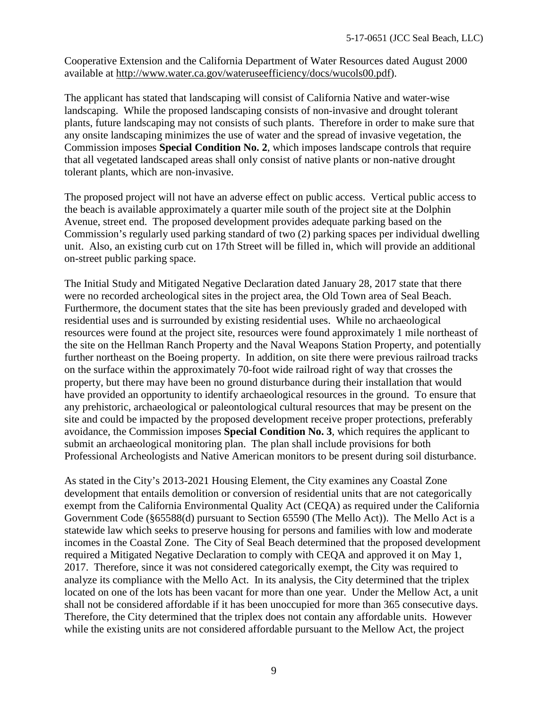Cooperative Extension and the California Department of Water Resources dated August 2000 available at [http://www.water.ca.gov/wateruseefficiency/docs/wucols00.pdf\)](http://www.water.ca.gov/wateruseefficiency/docs/wucols00.pdf).

The applicant has stated that landscaping will consist of California Native and water-wise landscaping. While the proposed landscaping consists of non-invasive and drought tolerant plants, future landscaping may not consists of such plants. Therefore in order to make sure that any onsite landscaping minimizes the use of water and the spread of invasive vegetation, the Commission imposes **Special Condition No. 2**, which imposes landscape controls that require that all vegetated landscaped areas shall only consist of native plants or non-native drought tolerant plants, which are non-invasive.

The proposed project will not have an adverse effect on public access. Vertical public access to the beach is available approximately a quarter mile south of the project site at the Dolphin Avenue, street end. The proposed development provides adequate parking based on the Commission's regularly used parking standard of two (2) parking spaces per individual dwelling unit. Also, an existing curb cut on 17th Street will be filled in, which will provide an additional on-street public parking space.

The Initial Study and Mitigated Negative Declaration dated January 28, 2017 state that there were no recorded archeological sites in the project area, the Old Town area of Seal Beach. Furthermore, the document states that the site has been previously graded and developed with residential uses and is surrounded by existing residential uses. While no archaeological resources were found at the project site, resources were found approximately 1 mile northeast of the site on the Hellman Ranch Property and the Naval Weapons Station Property, and potentially further northeast on the Boeing property. In addition, on site there were previous railroad tracks on the surface within the approximately 70-foot wide railroad right of way that crosses the property, but there may have been no ground disturbance during their installation that would have provided an opportunity to identify archaeological resources in the ground. To ensure that any prehistoric, archaeological or paleontological cultural resources that may be present on the site and could be impacted by the proposed development receive proper protections, preferably avoidance, the Commission imposes **Special Condition No. 3**, which requires the applicant to submit an archaeological monitoring plan. The plan shall include provisions for both Professional Archeologists and Native American monitors to be present during soil disturbance.

As stated in the City's 2013-2021 Housing Element, the City examines any Coastal Zone development that entails demolition or conversion of residential units that are not categorically exempt from the California Environmental Quality Act (CEQA) as required under the California Government Code (§65588(d) pursuant to Section 65590 (The Mello Act)). The Mello Act is a statewide law which seeks to preserve housing for persons and families with low and moderate incomes in the Coastal Zone. The City of Seal Beach determined that the proposed development required a Mitigated Negative Declaration to comply with CEQA and approved it on May 1, 2017. Therefore, since it was not considered categorically exempt, the City was required to analyze its compliance with the Mello Act. In its analysis, the City determined that the triplex located on one of the lots has been vacant for more than one year. Under the Mellow Act, a unit shall not be considered affordable if it has been unoccupied for more than 365 consecutive days. Therefore, the City determined that the triplex does not contain any affordable units. However while the existing units are not considered affordable pursuant to the Mellow Act, the project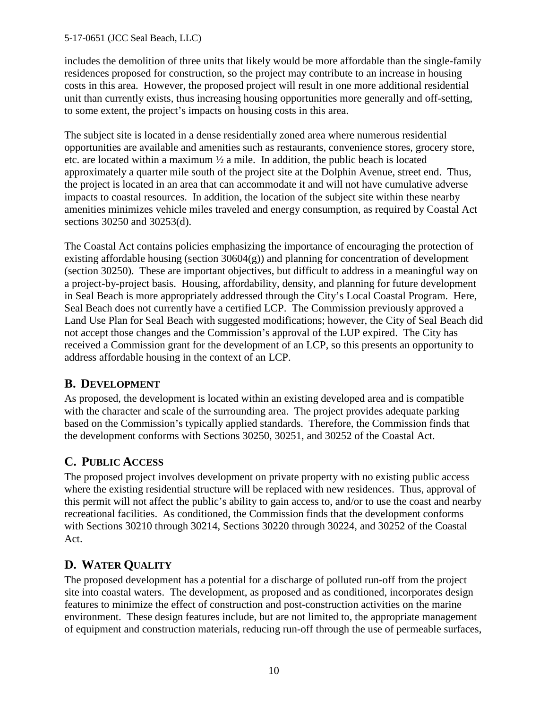#### 5-17-0651 (JCC Seal Beach, LLC)

includes the demolition of three units that likely would be more affordable than the single-family residences proposed for construction, so the project may contribute to an increase in housing costs in this area. However, the proposed project will result in one more additional residential unit than currently exists, thus increasing housing opportunities more generally and off-setting, to some extent, the project's impacts on housing costs in this area.

The subject site is located in a dense residentially zoned area where numerous residential opportunities are available and amenities such as restaurants, convenience stores, grocery store, etc. are located within a maximum ½ a mile. In addition, the public beach is located approximately a quarter mile south of the project site at the Dolphin Avenue, street end. Thus, the project is located in an area that can accommodate it and will not have cumulative adverse impacts to coastal resources. In addition, the location of the subject site within these nearby amenities minimizes vehicle miles traveled and energy consumption, as required by Coastal Act sections 30250 and 30253(d).

The Coastal Act contains policies emphasizing the importance of encouraging the protection of existing affordable housing (section 30604(g)) and planning for concentration of development (section 30250). These are important objectives, but difficult to address in a meaningful way on a project-by-project basis. Housing, affordability, density, and planning for future development in Seal Beach is more appropriately addressed through the City's Local Coastal Program. Here, Seal Beach does not currently have a certified LCP. The Commission previously approved a Land Use Plan for Seal Beach with suggested modifications; however, the City of Seal Beach did not accept those changes and the Commission's approval of the LUP expired. The City has received a Commission grant for the development of an LCP, so this presents an opportunity to address affordable housing in the context of an LCP.

### <span id="page-9-0"></span>**B. DEVELOPMENT**

As proposed, the development is located within an existing developed area and is compatible with the character and scale of the surrounding area. The project provides adequate parking based on the Commission's typically applied standards. Therefore, the Commission finds that the development conforms with Sections 30250, 30251, and 30252 of the Coastal Act.

### <span id="page-9-1"></span>**C. PUBLIC ACCESS**

The proposed project involves development on private property with no existing public access where the existing residential structure will be replaced with new residences. Thus, approval of this permit will not affect the public's ability to gain access to, and/or to use the coast and nearby recreational facilities. As conditioned, the Commission finds that the development conforms with Sections 30210 through 30214, Sections 30220 through 30224, and 30252 of the Coastal Act.

### <span id="page-9-2"></span>**D. WATER QUALITY**

The proposed development has a potential for a discharge of polluted run-off from the project site into coastal waters. The development, as proposed and as conditioned, incorporates design features to minimize the effect of construction and post-construction activities on the marine environment. These design features include, but are not limited to, the appropriate management of equipment and construction materials, reducing run-off through the use of permeable surfaces,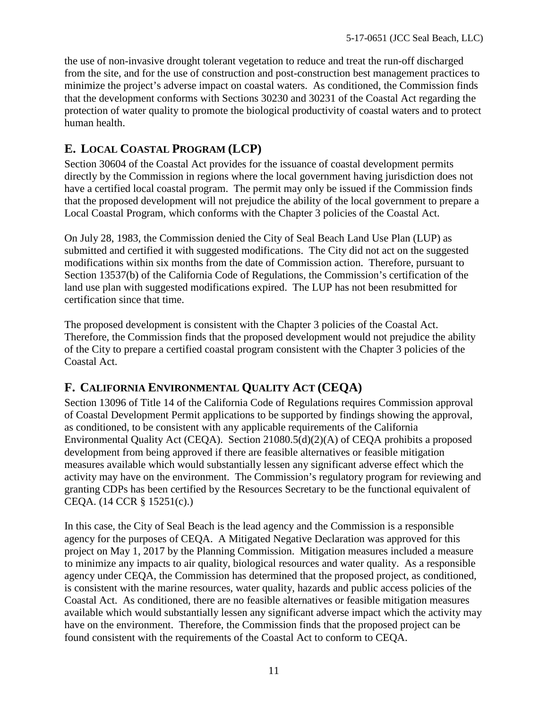the use of non-invasive drought tolerant vegetation to reduce and treat the run-off discharged from the site, and for the use of construction and post-construction best management practices to minimize the project's adverse impact on coastal waters. As conditioned, the Commission finds that the development conforms with Sections 30230 and 30231 of the Coastal Act regarding the protection of water quality to promote the biological productivity of coastal waters and to protect human health.

## <span id="page-10-0"></span>**E. LOCAL COASTAL PROGRAM (LCP)**

Section 30604 of the Coastal Act provides for the issuance of coastal development permits directly by the Commission in regions where the local government having jurisdiction does not have a certified local coastal program. The permit may only be issued if the Commission finds that the proposed development will not prejudice the ability of the local government to prepare a Local Coastal Program, which conforms with the Chapter 3 policies of the Coastal Act.

On July 28, 1983, the Commission denied the City of Seal Beach Land Use Plan (LUP) as submitted and certified it with suggested modifications. The City did not act on the suggested modifications within six months from the date of Commission action. Therefore, pursuant to Section 13537(b) of the California Code of Regulations, the Commission's certification of the land use plan with suggested modifications expired. The LUP has not been resubmitted for certification since that time.

The proposed development is consistent with the Chapter 3 policies of the Coastal Act. Therefore, the Commission finds that the proposed development would not prejudice the ability of the City to prepare a certified coastal program consistent with the Chapter 3 policies of the Coastal Act.

### <span id="page-10-1"></span>**F. CALIFORNIA ENVIRONMENTAL QUALITY ACT (CEQA)**

Section 13096 of Title 14 of the California Code of Regulations requires Commission approval of Coastal Development Permit applications to be supported by findings showing the approval, as conditioned, to be consistent with any applicable requirements of the California Environmental Quality Act (CEQA). Section 21080.5(d)(2)(A) of CEQA prohibits a proposed development from being approved if there are feasible alternatives or feasible mitigation measures available which would substantially lessen any significant adverse effect which the activity may have on the environment. The Commission's regulatory program for reviewing and granting CDPs has been certified by the Resources Secretary to be the functional equivalent of CEQA. (14 CCR § 15251(c).)

In this case, the City of Seal Beach is the lead agency and the Commission is a responsible agency for the purposes of CEQA. A Mitigated Negative Declaration was approved for this project on May 1, 2017 by the Planning Commission. Mitigation measures included a measure to minimize any impacts to air quality, biological resources and water quality. As a responsible agency under CEQA, the Commission has determined that the proposed project, as conditioned, is consistent with the marine resources, water quality, hazards and public access policies of the Coastal Act. As conditioned, there are no feasible alternatives or feasible mitigation measures available which would substantially lessen any significant adverse impact which the activity may have on the environment. Therefore, the Commission finds that the proposed project can be found consistent with the requirements of the Coastal Act to conform to CEQA.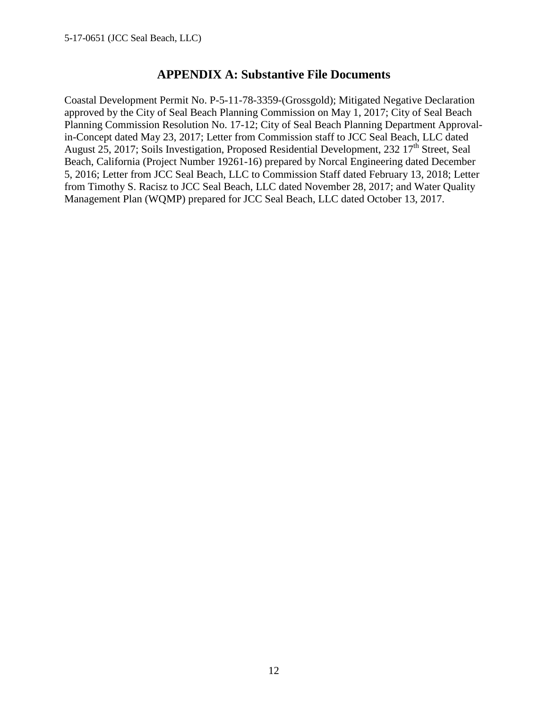### **APPENDIX A: Substantive File Documents**

<span id="page-11-0"></span>Coastal Development Permit No. P-5-11-78-3359-(Grossgold); Mitigated Negative Declaration approved by the City of Seal Beach Planning Commission on May 1, 2017; City of Seal Beach Planning Commission Resolution No. 17-12; City of Seal Beach Planning Department Approvalin-Concept dated May 23, 2017; Letter from Commission staff to JCC Seal Beach, LLC dated August 25, 2017; Soils Investigation, Proposed Residential Development, 232  $17<sup>th</sup>$  Street, Seal Beach, California (Project Number 19261-16) prepared by Norcal Engineering dated December 5, 2016; Letter from JCC Seal Beach, LLC to Commission Staff dated February 13, 2018; Letter from Timothy S. Racisz to JCC Seal Beach, LLC dated November 28, 2017; and Water Quality Management Plan (WQMP) prepared for JCC Seal Beach, LLC dated October 13, 2017.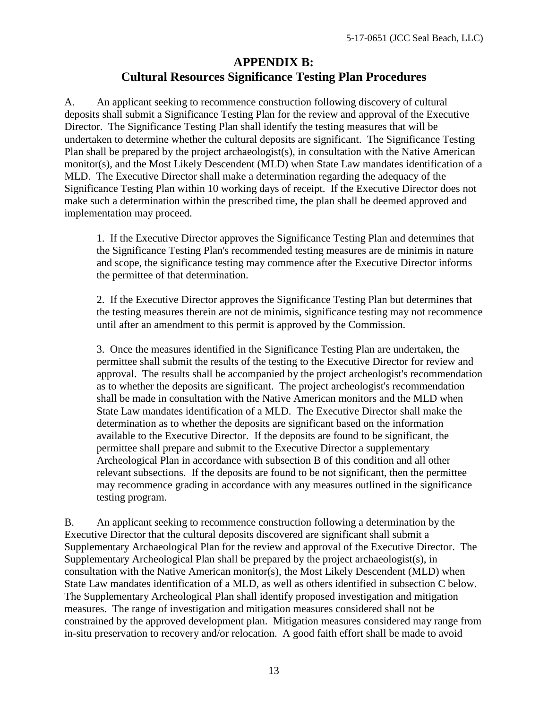### **APPENDIX B: Cultural Resources Significance Testing Plan Procedures**

<span id="page-12-0"></span>A. An applicant seeking to recommence construction following discovery of cultural deposits shall submit a Significance Testing Plan for the review and approval of the Executive Director. The Significance Testing Plan shall identify the testing measures that will be undertaken to determine whether the cultural deposits are significant. The Significance Testing Plan shall be prepared by the project archaeologist(s), in consultation with the Native American monitor(s), and the Most Likely Descendent (MLD) when State Law mandates identification of a MLD. The Executive Director shall make a determination regarding the adequacy of the Significance Testing Plan within 10 working days of receipt. If the Executive Director does not make such a determination within the prescribed time, the plan shall be deemed approved and implementation may proceed.

1. If the Executive Director approves the Significance Testing Plan and determines that the Significance Testing Plan's recommended testing measures are de minimis in nature and scope, the significance testing may commence after the Executive Director informs the permittee of that determination.

2. If the Executive Director approves the Significance Testing Plan but determines that the testing measures therein are not de minimis, significance testing may not recommence until after an amendment to this permit is approved by the Commission.

3. Once the measures identified in the Significance Testing Plan are undertaken, the permittee shall submit the results of the testing to the Executive Director for review and approval. The results shall be accompanied by the project archeologist's recommendation as to whether the deposits are significant. The project archeologist's recommendation shall be made in consultation with the Native American monitors and the MLD when State Law mandates identification of a MLD. The Executive Director shall make the determination as to whether the deposits are significant based on the information available to the Executive Director. If the deposits are found to be significant, the permittee shall prepare and submit to the Executive Director a supplementary Archeological Plan in accordance with subsection B of this condition and all other relevant subsections. If the deposits are found to be not significant, then the permittee may recommence grading in accordance with any measures outlined in the significance testing program.

B. An applicant seeking to recommence construction following a determination by the Executive Director that the cultural deposits discovered are significant shall submit a Supplementary Archaeological Plan for the review and approval of the Executive Director. The Supplementary Archeological Plan shall be prepared by the project archaeologist(s), in consultation with the Native American monitor(s), the Most Likely Descendent (MLD) when State Law mandates identification of a MLD, as well as others identified in subsection C below. The Supplementary Archeological Plan shall identify proposed investigation and mitigation measures. The range of investigation and mitigation measures considered shall not be constrained by the approved development plan. Mitigation measures considered may range from in-situ preservation to recovery and/or relocation. A good faith effort shall be made to avoid